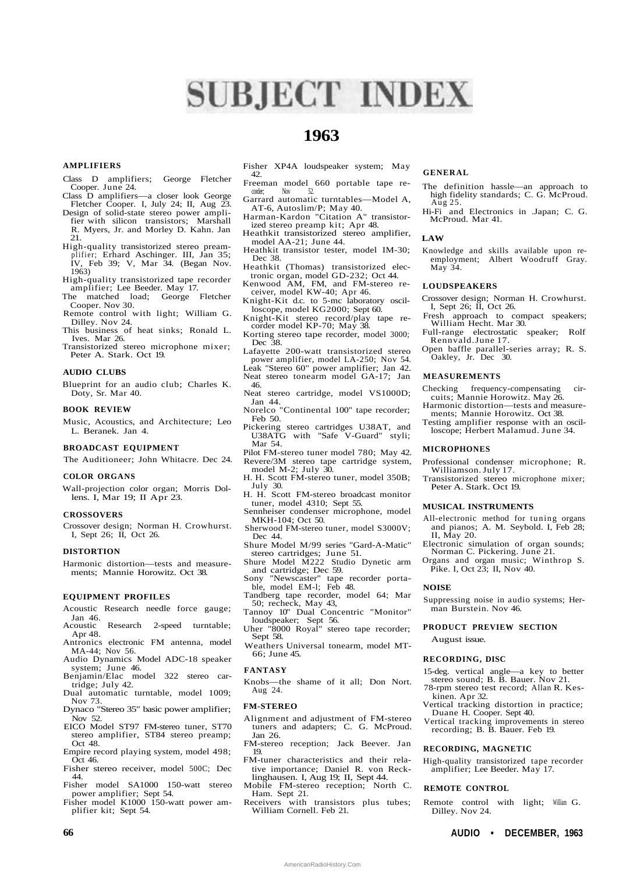# **SUBJECT INDEX**

# **1963**

# **AMPLIFIERS**

- Class D amplifiers; George Fletcher Cooper. June 24.
- Class D amplifiers—a closer look George Fletcher Cooper. I, July 24; II, Aug 23.
- Design of solid-state stereo power amplifier with silicon transistors; Marshall R. Myers, Jr. and Morley D. Kahn. Jan 21.
- High-quality transistorized stereo preamplifier; Erhard Aschinger. III, Jan 35; IV, Feb 39; V, Mar 34. (Began Nov. 1963)
- High-quality transistorized tape recorder amplifier; Lee Beeder. May 17.
- The matched load; Cooper. Nov 30.
- Remote control with light; William G. Dilley. Nov 24.
- This business of heat sinks; Ronald L. Ives. Mar 26.
- Transistorized stereo microphone mixer; Peter A. Stark. Oct 19.

# **AUDIO CLUBS**

Blueprint for an audio club; Charles K. Doty, Sr. Mar 40.

#### **BOOK REVIEW**

Music, Acoustics, and Architecture; Leo L. Beranek. Jan 4.

# **BROADCAST EQUIPMENT**

The Auditioneer; John Whitacre. Dec 24.

#### **COLOR ORGANS**

Wall-projection color organ; Morris Dollens. I, Mar 19; II Apr 23.

# **CROSSOVERS**

Crossover design; Norman H. Crowhurst. I, Sept 26; II, Oct 26.

#### **DISTORTION**

Harmonic distortion—tests and measurements; Mannie Horowitz. Oct 38.

# **EQUIPMENT PROFILES**

- Acoustic Research needle force gauge; Jan 46.<br>Acoustic
- Research 2-speed turntable; Apr 48.
- Antronics electronic FM antenna, model MA-44; Nov 56.
- Audio Dynamics Model ADC-18 speaker system; June 46.
- Benjamin/Elac model 322 stereo cartridge; July 42.
- Dual automatic turntable, model 1009; Nov 73.
- Dynaco "Stereo 35" basic power amplifier; Nov 52.
- EICO Model ST97 FM-stereo tuner, ST70 stereo amplifier, ST84 stereo preamp; Oct 48.
- Empire record playing system, model 498; Oct 46.
- Fisher stereo receiver, model 500C; Dec 44.
- Fisher model SA1000 150-watt stereo power amplifier; Sept 54.
- Fisher model K1000 150-watt power amplifier kit; Sept 54.
- Fisher XP4A loudspeaker system; May 42.
- Freeman model 660 portable tape recorder;
- Garrard automatic turntables—Model A, AT-6, Autoslim/P; May 40.
- Harman-Kardon "Citation A" transistorized stereo preamp kit; Apr 48.
- Heathkit transistorized stereo amplifier, model AA-21; June 44.
- Heathkit transistor tester, model IM-30; Dec 38.
- Heathkit (Thomas) transistorized electronic organ, model GD-232; Oct 44.
- Kenwood AM, FM, and FM-stereo receiver, model KW-40; Apr 46.
- Knight-Kit d.c. to 5-mc laboratory oscilloscope, model KG2000; Sept 60.
- Knight-Kit stereo record/play tape re-corder model KP-70; May 38.
- Korting stereo tape recorder, model 3000; Dec 38.
- Lafayette 200-watt transistorized stereo power amplifier, model LA-250; Nov 54. Leak "Stereo 60" power amplifier; Jan 42. Neat stereo tonearm model GA-17; Jan 46.
- Neat stereo cartridge, model VS1000D; Jan 44.
- Norelco "Continental 100" tape recorder; Feb 50.
- Pickering stereo cartridges U38AT, and U38ATG with "Safe V-Guard" styli; Mar 54.
- Pilot FM-stereo tuner model 780; May 42.
- Revere/3M stereo tape cartridge system, model M-2; July 30.
- H. H. Scott FM-stereo tuner, model 350B;
- July 30. H. H. Scott FM-stereo broadcast monitor
- tuner, model 4310; Sept 55. Sennheiser condenser microphone, model
- MKH-104; Oct 50. Sherwood FM-stereo tuner, model S3000V; Dec 44.
- Shure Model M/99 series "Gard-A-Matic" stereo cartridges; June 51.
- Shure Model M222 Studio Dynetic arm and cartridge; Dec 59.
- Sony "Newscaster" tape recorder porta-
- ble, model EM-l; Feb 48. Tandberg tape recorder, model 64; Mar
- 50; recheck, May 43, Tannoy 10" Dual Concentric "Monitor"
- loudspeaker; Sept 56. Uher "8000 Royal" stereo tape recorder;
- Sept 58. Weathers Universal tonearm, model MT-
- 66; June 45.

# **FANTASY**

Knobs—the shame of it all; Don Nort. Aug 24.

# **FM-STEREO**

- Alignment and adjustment of FM-stereo tuners and adapters; C. G. McProud. Jan 26.
- FM-stereo reception; Jack Beever. Jan 19.
- FM-tuner characteristics and their relative importance; Daniel R. von Recklinghausen. I, Aug 19; II, Sept 44.
- Mobile FM-stereo reception; North C. Ham. Sept 21.
- Receivers with transistors plus tubes; William Cornell. Feb 21.

**66 AUDIO • DECEMBER, 1963**

AmericanRadioHistory.Com

# **GENERAL**

- The definition hassle—an approach to high fidelity standards; C. G. McProud. Aug 25.<br>Hi-Fi and
- and Electronics in .Japan; C. G. McProud. Mar 41.

#### **LAW**

Knowledge and skills available upon reemployment; Albert Woodruff Gray. May 34.

#### **LOUDSPEAKERS**

- Crossover design; Norman H. Crowhurst. I, Sept 26; II, Oct 26.
- Fresh approach to compact speakers; William Hecht. Mar 30.
- Full-range electrostatic speaker; Rolf Rennvald. June 17.
- Open baffle parallel-series array; R. S. Oakley, Jr. Dec 30.

#### **MEASUREMENTS**

- Checking frequency-compensating circuits; Mannie Horowitz. May 26.
- Harmonic distortion—tests and measurements; Mannie Horowitz. Oct 38.
- Testing amplifier response with an oscilloscope; Herbert Malamud. June 34.

#### **MICROPHONES**

- Professional condenser microphone; R. Williamson. July 17.
- Transistorized stereo microphone mixer; Peter A. Stark. Oct 19.

#### **MUSICAL INSTRUMENTS**

- All-electronic method for tuning organs and pianos; A. M. Seybold. I, Feb 28; II, May 20.
- Electronic simulation of organ sounds; Norman C. Pickering. June 21.
- Organs and organ music; Winthrop S. Pike. I, Oct 23; II, Nov 40.

#### **NOISE**

Suppressing noise in audio systems; Herman Burstein. Nov 46.

15-deg. vertical angle—a key to better stereo sound; B. B. Bauer. Nov 21. 78-rpm stereo test record; Allan R. Kes-

Vertical tracking distortion in practice;

Vertical tracking improvements in stereo recording; B. B. Bauer. Feb 19.

High-quality transistorized tape recorder amplifier; Lee Beeder. May 17.

Remote control with light; William G.

Duane H. Cooper. Sept 40.

**RECORDING, MAGNETIC**

**REMOTE CONTROL**

Dilley. Nov 24.

#### **PRODUCT PREVIEW SECTION**

August issue.

#### **RECORDING, DISC**

kinen. Apr 32.